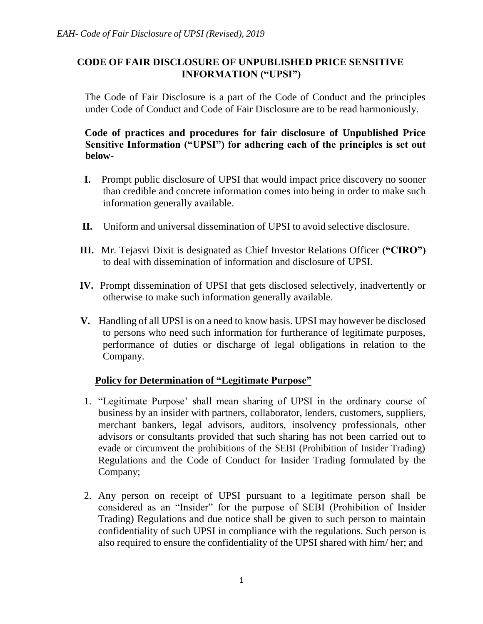## **CODE OF FAIR DISCLOSURE OF UNPUBLISHED PRICE SENSITIVE INFORMATION ("UPSI")**

The Code of Fair Disclosure is a part of the Code of Conduct and the principles under Code of Conduct and Code of Fair Disclosure are to be read harmoniously.

## **Code of practices and procedures for fair disclosure of Unpublished Price Sensitive Information ("UPSI") for adhering each of the principles is set out below**-

- **I.** Prompt public disclosure of UPSI that would impact price discovery no sooner than credible and concrete information comes into being in order to make such information generally available.
- **II.** Uniform and universal dissemination of UPSI to avoid selective disclosure.
- **III.** Mr. Tejasvi Dixit is designated as Chief Investor Relations Officer **("CIRO")** to deal with dissemination of information and disclosure of UPSI.
- **IV.** Prompt dissemination of UPSI that gets disclosed selectively, inadvertently or otherwise to make such information generally available.
- **V.** Handling of all UPSI is on a need to know basis. UPSI may however be disclosed to persons who need such information for furtherance of legitimate purposes, performance of duties or discharge of legal obligations in relation to the Company.

# **Policy for Determination of "Legitimate Purpose"**

- 1. "Legitimate Purpose' shall mean sharing of UPSI in the ordinary course of business by an insider with partners, collaborator, lenders, customers, suppliers, merchant bankers, legal advisors, auditors, insolvency professionals, other advisors or consultants provided that such sharing has not been carried out to evade or circumvent the prohibitions of the SEBI (Prohibition of Insider Trading) Regulations and the Code of Conduct for Insider Trading formulated by the Company;
- 2. Any person on receipt of UPSI pursuant to a legitimate person shall be considered as an "Insider" for the purpose of SEBI (Prohibition of Insider Trading) Regulations and due notice shall be given to such person to maintain confidentiality of such UPSI in compliance with the regulations. Such person is also required to ensure the confidentiality of the UPSI shared with him/ her; and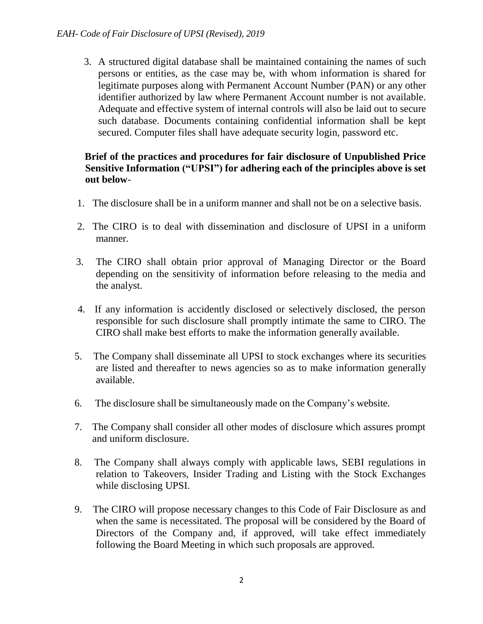3. A structured digital database shall be maintained containing the names of such persons or entities, as the case may be, with whom information is shared for legitimate purposes along with Permanent Account Number (PAN) or any other identifier authorized by law where Permanent Account number is not available. Adequate and effective system of internal controls will also be laid out to secure such database. Documents containing confidential information shall be kept secured. Computer files shall have adequate security login, password etc.

### **Brief of the practices and procedures for fair disclosure of Unpublished Price Sensitive Information ("UPSI") for adhering each of the principles above is set out below**-

- 1. The disclosure shall be in a uniform manner and shall not be on a selective basis.
- 2. The CIRO is to deal with dissemination and disclosure of UPSI in a uniform manner.
- 3. The CIRO shall obtain prior approval of Managing Director or the Board depending on the sensitivity of information before releasing to the media and the analyst.
- 4. If any information is accidently disclosed or selectively disclosed, the person responsible for such disclosure shall promptly intimate the same to CIRO. The CIRO shall make best efforts to make the information generally available.
- 5. The Company shall disseminate all UPSI to stock exchanges where its securities are listed and thereafter to news agencies so as to make information generally available.
- 6. The disclosure shall be simultaneously made on the Company's website.
- 7. The Company shall consider all other modes of disclosure which assures prompt and uniform disclosure.
- 8. The Company shall always comply with applicable laws, SEBI regulations in relation to Takeovers, Insider Trading and Listing with the Stock Exchanges while disclosing UPSI.
- 9. The CIRO will propose necessary changes to this Code of Fair Disclosure as and when the same is necessitated. The proposal will be considered by the Board of Directors of the Company and, if approved, will take effect immediately following the Board Meeting in which such proposals are approved.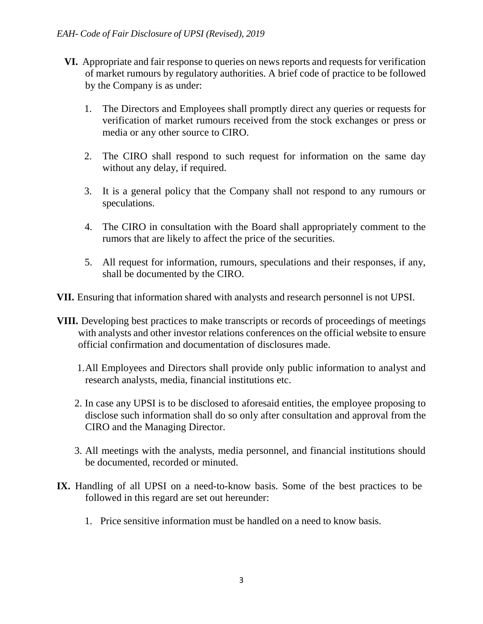- **VI.** Appropriate and fair response to queries on news reports and requests for verification of market rumours by regulatory authorities. A brief code of practice to be followed by the Company is as under:
	- 1. The Directors and Employees shall promptly direct any queries or requests for verification of market rumours received from the stock exchanges or press or media or any other source to CIRO.
	- 2. The CIRO shall respond to such request for information on the same day without any delay, if required.
	- 3. It is a general policy that the Company shall not respond to any rumours or speculations.
	- 4. The CIRO in consultation with the Board shall appropriately comment to the rumors that are likely to affect the price of the securities.
	- 5. All request for information, rumours, speculations and their responses, if any, shall be documented by the CIRO.

**VII.** Ensuring that information shared with analysts and research personnel is not UPSI.

- **VIII.** Developing best practices to make transcripts or records of proceedings of meetings with analysts and other investor relations conferences on the official website to ensure official confirmation and documentation of disclosures made.
	- 1.All Employees and Directors shall provide only public information to analyst and research analysts, media, financial institutions etc.
	- 2. In case any UPSI is to be disclosed to aforesaid entities, the employee proposing to disclose such information shall do so only after consultation and approval from the CIRO and the Managing Director.
	- 3. All meetings with the analysts, media personnel, and financial institutions should be documented, recorded or minuted.
- **IX.** Handling of all UPSI on a need-to-know basis. Some of the best practices to be followed in this regard are set out hereunder:
	- 1. Price sensitive information must be handled on a need to know basis.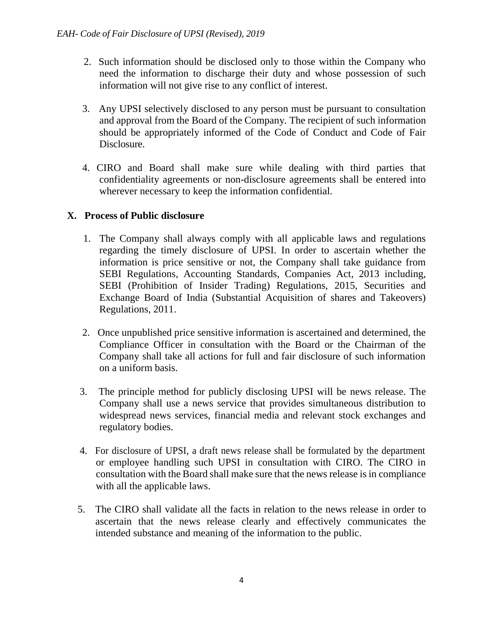- 2. Such information should be disclosed only to those within the Company who need the information to discharge their duty and whose possession of such information will not give rise to any conflict of interest.
- 3. Any UPSI selectively disclosed to any person must be pursuant to consultation and approval from the Board of the Company. The recipient of such information should be appropriately informed of the Code of Conduct and Code of Fair Disclosure.
- 4. CIRO and Board shall make sure while dealing with third parties that confidentiality agreements or non-disclosure agreements shall be entered into wherever necessary to keep the information confidential.

### **X. Process of Public disclosure**

- 1. The Company shall always comply with all applicable laws and regulations regarding the timely disclosure of UPSI. In order to ascertain whether the information is price sensitive or not, the Company shall take guidance from SEBI Regulations, Accounting Standards, Companies Act, 2013 including, SEBI (Prohibition of Insider Trading) Regulations, 2015, Securities and Exchange Board of India (Substantial Acquisition of shares and Takeovers) Regulations, 2011.
- 2. Once unpublished price sensitive information is ascertained and determined, the Compliance Officer in consultation with the Board or the Chairman of the Company shall take all actions for full and fair disclosure of such information on a uniform basis.
- 3. The principle method for publicly disclosing UPSI will be news release. The Company shall use a news service that provides simultaneous distribution to widespread news services, financial media and relevant stock exchanges and regulatory bodies.
- 4. For disclosure of UPSI, a draft news release shall be formulated by the department or employee handling such UPSI in consultation with CIRO. The CIRO in consultation with the Board shall make sure that the news release is in compliance with all the applicable laws.
- 5. The CIRO shall validate all the facts in relation to the news release in order to ascertain that the news release clearly and effectively communicates the intended substance and meaning of the information to the public.